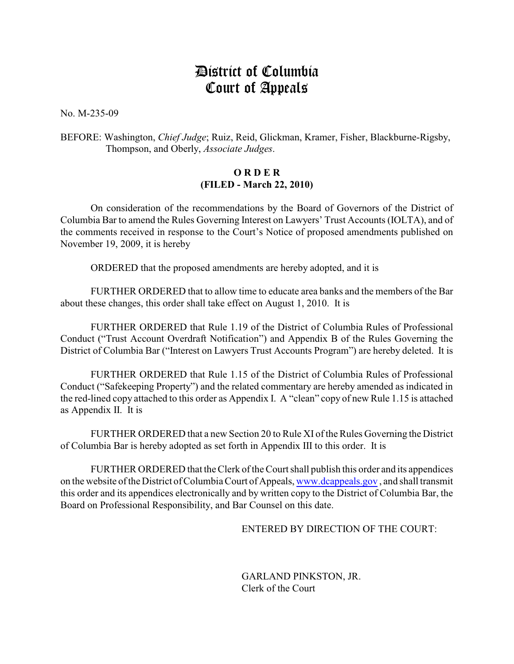# District of Columbia Court of Appeals

No. M-235-09

BEFORE: Washington, *Chief Judge*; Ruiz, Reid, Glickman, Kramer, Fisher, Blackburne-Rigsby, Thompson, and Oberly, *Associate Judges*.

# **O R D E R (FILED - March 22, 2010)**

On consideration of the recommendations by the Board of Governors of the District of Columbia Bar to amend the Rules Governing Interest on Lawyers' Trust Accounts (IOLTA), and of the comments received in response to the Court's Notice of proposed amendments published on November 19, 2009, it is hereby

ORDERED that the proposed amendments are hereby adopted, and it is

FURTHER ORDERED that to allow time to educate area banks and the members of the Bar about these changes, this order shall take effect on August 1, 2010. It is

FURTHER ORDERED that Rule 1.19 of the District of Columbia Rules of Professional Conduct ("Trust Account Overdraft Notification") and Appendix B of the Rules Governing the District of Columbia Bar ("Interest on Lawyers Trust Accounts Program") are hereby deleted. It is

FURTHER ORDERED that Rule 1.15 of the District of Columbia Rules of Professional Conduct ("Safekeeping Property") and the related commentary are hereby amended as indicated in the red-lined copy attached to this order as Appendix I. A "clean" copy of new Rule 1.15 is attached as Appendix II. It is

FURTHER ORDERED that a new Section 20 to Rule XI of the Rules Governing the District of Columbia Bar is hereby adopted as set forth in Appendix III to this order. It is

FURTHER ORDERED that the Clerk of the Court shall publish this order and its appendices on the website of the District of Columbia Court of Appeals, [www.dcappeals.gov](http://www.dcappeals.gov:) , and shall transmit this order and its appendices electronically and by written copy to the District of Columbia Bar, the Board on Professional Responsibility, and Bar Counsel on this date.

ENTERED BY DIRECTION OF THE COURT:

GARLAND PINKSTON, JR. Clerk of the Court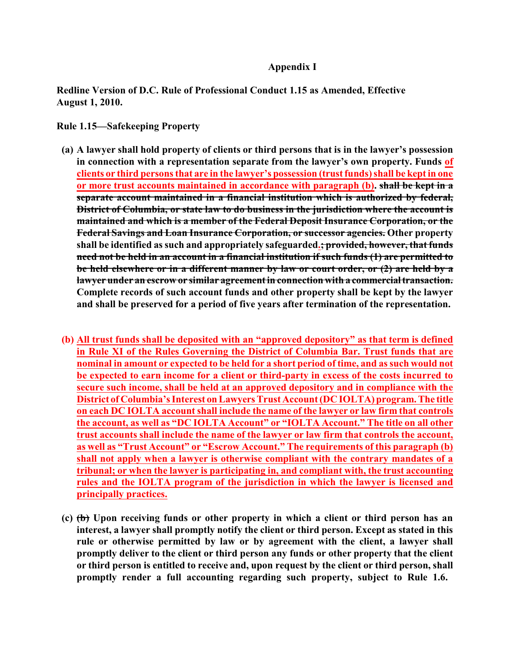#### **Appendix I**

**Redline Version of D.C. Rule of Professional Conduct 1.15 as Amended, Effective August 1, 2010.**

**Rule 1.15—Safekeeping Property** 

- **(a) A lawyer shall hold property of clients or third persons that is in the lawyer's possession in connection with a representation separate from the lawyer's own property. Funds of clients or third persons that are in the lawyer's possession (trust funds) shall be kept in one or more trust accounts maintained in accordance with paragraph (b). shall be kept in a separate account maintained in a financial institution which is authorized by federal, District of Columbia, or state law to do business in the jurisdiction where the account is maintained and which is a member of the Federal Deposit Insurance Corporation, or the Federal Savings and Loan Insurance Corporation, or successor agencies. Other property shall be identified as such and appropriately safeguarded.; provided, however, that funds need not be held in an account in a financial institution if such funds (1) are permitted to be held elsewhere or in a different manner by law or court order, or (2) are held by a lawyer under an escrow or similar agreement in connection with a commercial transaction. Complete records of such account funds and other property shall be kept by the lawyer and shall be preserved for a period of five years after termination of the representation.**
- **(b) All trust funds shall be deposited with an "approved depository" as that term is defined in Rule XI of the Rules Governing the District of Columbia Bar. Trust funds that are nominal in amount or expected to be held for a short period of time, and as such would not be expected to earn income for a client or third-party in excess of the costs incurred to secure such income, shall be held at an approved depository and in compliance with the District of Columbia's Interest on Lawyers Trust Account (DC IOLTA) program. The title on each DC IOLTA account shall include the name of the lawyer or law firm that controls the account, as well as "DC IOLTA Account" or "IOLTA Account." The title on all other trust accounts shall include the name of the lawyer or law firm that controls the account, as well as "Trust Account" or "Escrow Account." The requirements of this paragraph (b) shall not apply when a lawyer is otherwise compliant with the contrary mandates of a tribunal; or when the lawyer is participating in, and compliant with, the trust accounting rules and the IOLTA program of the jurisdiction in which the lawyer is licensed and principally practices.**
- **(c) (b) Upon receiving funds or other property in which a client or third person has an interest, a lawyer shall promptly notify the client or third person. Except as stated in this rule or otherwise permitted by law or by agreement with the client, a lawyer shall promptly deliver to the client or third person any funds or other property that the client or third person is entitled to receive and, upon request by the client or third person, shall promptly render a full accounting regarding such property, subject to Rule 1.6.**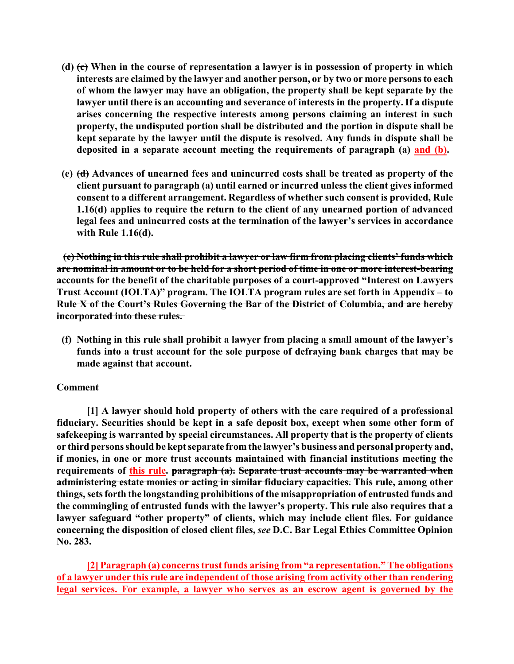- **(d) (c) When in the course of representation a lawyer is in possession of property in which interests are claimed by the lawyer and another person, or by two or more persons to each of whom the lawyer may have an obligation, the property shall be kept separate by the lawyer until there is an accounting and severance of interests in the property. If a dispute arises concerning the respective interests among persons claiming an interest in such property, the undisputed portion shall be distributed and the portion in dispute shall be kept separate by the lawyer until the dispute is resolved. Any funds in dispute shall be deposited in a separate account meeting the requirements of paragraph (a) and (b).**
- **(e) (d) Advances of unearned fees and unincurred costs shall be treated as property of the client pursuant to paragraph (a) until earned or incurred unless the client gives informed consent to a different arrangement. Regardless of whether such consent is provided, Rule 1.16(d) applies to require the return to the client of any unearned portion of advanced legal fees and unincurred costs at the termination of the lawyer's services in accordance with Rule 1.16(d).**

**(e) Nothing in this rule shall prohibit a lawyer or law firm from placing clients' funds which are nominal in amount or to be held for a short period of time in one or more interest-bearing accounts for the benefit of the charitable purposes of a court-approved "Interest on Lawyers Trust Account (IOLTA)" program. The IOLTA program rules are set forth in Appendix – to Rule X of the Court's Rules Governing the Bar of the District of Columbia, and are hereby incorporated into these rules.** 

**(f) Nothing in this rule shall prohibit a lawyer from placing a small amount of the lawyer's funds into a trust account for the sole purpose of defraying bank charges that may be made against that account.** 

## **Comment**

**[1] A lawyer should hold property of others with the care required of a professional fiduciary. Securities should be kept in a safe deposit box, except when some other form of safekeeping is warranted by special circumstances. All property that is the property of clients or third persons should be kept separate from the lawyer's business and personal property and, if monies, in one or more trust accounts maintained with financial institutions meeting the requirements of this rule. paragraph (a). Separate trust accounts may be warranted when administering estate monies or acting in similar fiduciary capacities. This rule, among other things, sets forth the longstanding prohibitions of the misappropriation of entrusted funds and the commingling of entrusted funds with the lawyer's property. This rule also requires that a lawyer safeguard "other property" of clients, which may include client files. For guidance concerning the disposition of closed client files,** *see* **D.C. Bar Legal Ethics Committee Opinion No. 283.** 

**[2] Paragraph (a) concerns trust funds arising from "a representation." The obligations of a lawyer under this rule are independent of those arising from activity other than rendering legal services. For example, a lawyer who serves as an escrow agent is governed by the**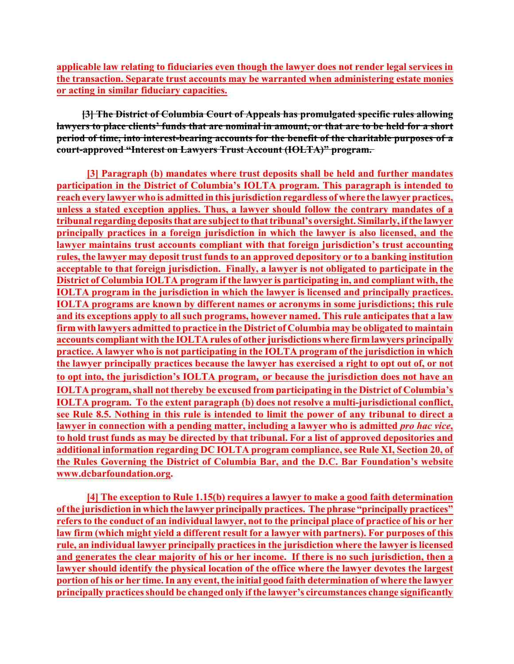**applicable law relating to fiduciaries even though the lawyer does not render legal services in the transaction. Separate trust accounts may be warranted when administering estate monies or acting in similar fiduciary capacities.**

 **[3] The District of Columbia Court of Appeals has promulgated specific rules allowing lawyers to place clients' funds that are nominal in amount, or that are to be held for a short period of time, into interest-bearing accounts for the benefit of the charitable purposes of a court-approved "Interest on Lawyers Trust Account (IOLTA)" program.** 

**[3] Paragraph (b) mandates where trust deposits shall be held and further mandates participation in the District of Columbia's IOLTA program. This paragraph is intended to reach every lawyer who is admitted inthisjurisdiction regardless of where the lawyer practices, unless a stated exception applies. Thus, a lawyer should follow the contrary mandates of a tribunal regarding deposits that are subject to that tribunal's oversight. Similarly, ifthe lawyer principally practices in a foreign jurisdiction in which the lawyer is also licensed, and the lawyer maintains trust accounts compliant with that foreign jurisdiction's trust accounting rules, the lawyer may deposit trust funds to an approved depository or to a banking institution acceptable to that foreign jurisdiction. Finally, a lawyer is not obligated to participate in the District of Columbia IOLTA program if the lawyer is participating in, and compliant with, the IOLTA program in the jurisdiction in which the lawyer is licensed and principally practices. IOLTA programs are known by different names or acronyms in some jurisdictions; this rule and its exceptions apply to all such programs, however named. This rule anticipates that a law firmwith lawyers admitted to practice in the District of Columbia may be obligated to maintain accounts compliant with the IOLTA rules of other jurisdictions where firm lawyers principally practice. A lawyer who is not participating in the IOLTA program of the jurisdiction in which the lawyer principally practices because the lawyer has exercised a right to opt out of, or not to opt into, the jurisdiction's IOLTA program, or because the jurisdiction does not have an IOLTA program, shall not thereby be excused from participating in the District of Columbia's IOLTA program. To the extent paragraph (b) does not resolve a multi-jurisdictional conflict, see Rule 8.5. Nothing in this rule is intended to limit the power of any tribunal to direct a lawyer in connection with a pending matter, including a lawyer who is admitted** *pro hac vice***, to hold trust funds as may be directed by that tribunal. For a list of approved depositories and additional information regarding DC IOLTA program compliance, see Rule XI, Section 20, of the Rules Governing the District of Columbia Bar, and the D.C. Bar Foundation's website [www.dcbarfoundation.org](http://www.dcbarfoundation.org).**

**[4] The exception to Rule 1.15(b) requires a lawyer to make a good faith determination of the jurisdiction in which the lawyer principally practices. The phrase "principally practices" refers to the conduct of an individual lawyer, not to the principal place of practice of his or her law firm (which might yield a different result for a lawyer with partners). For purposes of this rule, an individual lawyer principally practices in the jurisdiction where the lawyer is licensed and generates the clear majority of his or her income. If there is no such jurisdiction, then a lawyer should identify the physical location of the office where the lawyer devotes the largest portion of his or her time. In any event, the initial good faith determination of where the lawyer principally practices should be changed only if the lawyer's circumstances change significantly**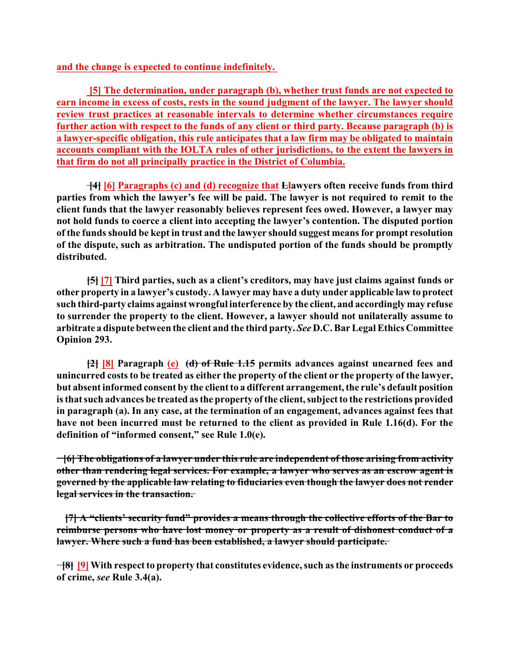**and the change is expected to continue indefinitely.** 

**[5] The determination, under paragraph (b), whether trust funds are not expected to earn income in excess of costs, rests in the sound judgment of the lawyer. The lawyer should review trust practices at reasonable intervals to determine whether circumstances require further action with respect to the funds of any client or third party. Because paragraph (b) is a lawyer-specific obligation, this rule anticipates that a law firm may be obligated to maintain accounts compliant with the IOLTA rules of other jurisdictions, to the extent the lawyers in that firm do not all principally practice in the District of Columbia.**

 **[4] [6] Paragraphs (c) and (d) recognize that Llawyers often receive funds from third parties from which the lawyer's fee will be paid. The lawyer is not required to remit to the client funds that the lawyer reasonably believes represent fees owed. However, a lawyer may not hold funds to coerce a client into accepting the lawyer's contention. The disputed portion of the fundsshould be kept in trust and the lawyer should suggest means for prompt resolution of the dispute, such as arbitration. The undisputed portion of the funds should be promptly distributed.**

**[5] [7] Third parties, such as a client's creditors, may have just claims against funds or other property in a lawyer's custody. A lawyer may have a duty under applicable law to protect such third-party claims against wrongful interference by the client, and accordingly may refuse to surrender the property to the client. However, a lawyer should not unilaterally assume to arbitrate a dispute between the client and the third party.** *See* **D.C. Bar Legal Ethics Committee Opinion 293.** 

**[2] [8] Paragraph (e) (d) of Rule 1.15 permits advances against unearned fees and unincurred costs to be treated as either the property of the client or the property of the lawyer, but absent informed consent by the client to a different arrangement, the rule's default position is that such advances be treated as the property of the client, subject to the restrictions provided in paragraph (a). In any case, at the termination of an engagement, advances against fees that have not been incurred must be returned to the client as provided in Rule 1.16(d). For the definition of "informed consent," see Rule 1.0(e).**

**[6] The obligations of a lawyer under this rule are independent of those arising from activity other than rendering legal services. For example, a lawyer who serves as an escrow agent is governed by the applicable law relating to fiduciaries even though the lawyer does not render legal services in the transaction.** 

**[7] A "clients' security fund" provides a means through the collective efforts of the Bar to reimburse persons who have lost money or property as a result of dishonest conduct of a lawyer. Where such a fund has been established, a lawyer should participate.** 

**[8] [9]With respect to property that constitutes evidence, such as the instruments or proceeds of crime,** *see* **Rule 3.4(a).**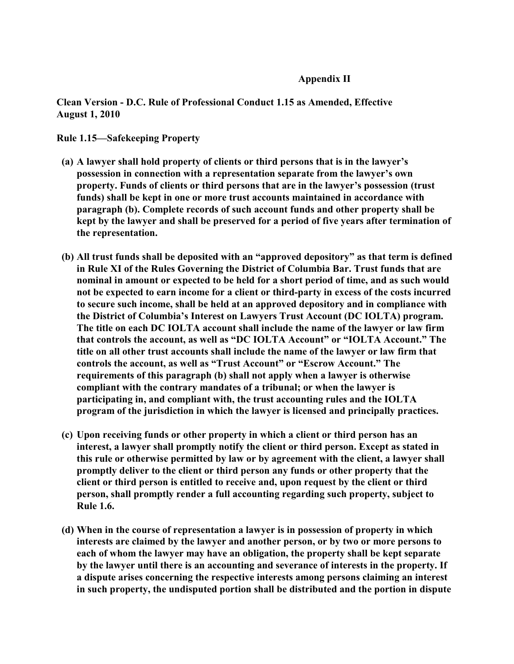## **Appendix II**

**Clean Version - D.C. Rule of Professional Conduct 1.15 as Amended, Effective August 1, 2010**

**Rule 1.15—Safekeeping Property** 

- **(a) A lawyer shall hold property of clients or third persons that is in the lawyer's possession in connection with a representation separate from the lawyer's own property. Funds of clients or third persons that are in the lawyer's possession (trust funds) shall be kept in one or more trust accounts maintained in accordance with paragraph (b). Complete records of such account funds and other property shall be kept by the lawyer and shall be preserved for a period of five years after termination of the representation.**
- **(b) All trust funds shall be deposited with an "approved depository" as that term is defined in Rule XI of the Rules Governing the District of Columbia Bar. Trust funds that are nominal in amount or expected to be held for a short period of time, and as such would not be expected to earn income for a client or third-party in excess of the costs incurred to secure such income, shall be held at an approved depository and in compliance with the District of Columbia's Interest on Lawyers Trust Account (DC IOLTA) program. The title on each DC IOLTA account shall include the name of the lawyer or law firm that controls the account, as well as "DC IOLTA Account" or "IOLTA Account." The title on all other trust accounts shall include the name of the lawyer or law firm that controls the account, as well as "Trust Account" or "Escrow Account." The requirements of this paragraph (b) shall not apply when a lawyer is otherwise compliant with the contrary mandates of a tribunal; or when the lawyer is participating in, and compliant with, the trust accounting rules and the IOLTA program of the jurisdiction in which the lawyer is licensed and principally practices.**
- **(c) Upon receiving funds or other property in which a client or third person has an interest, a lawyer shall promptly notify the client or third person. Except as stated in this rule or otherwise permitted by law or by agreement with the client, a lawyer shall promptly deliver to the client or third person any funds or other property that the client or third person is entitled to receive and, upon request by the client or third person, shall promptly render a full accounting regarding such property, subject to Rule 1.6.**
- **(d) When in the course of representation a lawyer is in possession of property in which interests are claimed by the lawyer and another person, or by two or more persons to each of whom the lawyer may have an obligation, the property shall be kept separate by the lawyer until there is an accounting and severance of interests in the property. If a dispute arises concerning the respective interests among persons claiming an interest in such property, the undisputed portion shall be distributed and the portion in dispute**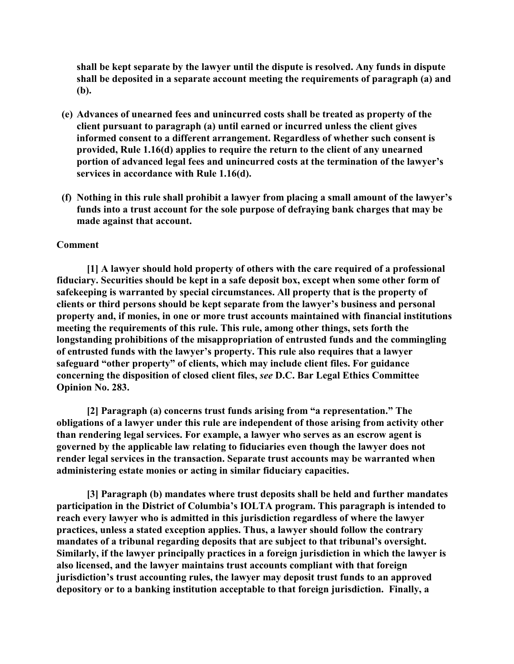**shall be kept separate by the lawyer until the dispute is resolved. Any funds in dispute shall be deposited in a separate account meeting the requirements of paragraph (a) and (b).** 

- **(e) Advances of unearned fees and unincurred costs shall be treated as property of the client pursuant to paragraph (a) until earned or incurred unless the client gives informed consent to a different arrangement. Regardless of whether such consent is provided, Rule 1.16(d) applies to require the return to the client of any unearned portion of advanced legal fees and unincurred costs at the termination of the lawyer's services in accordance with Rule 1.16(d).**
- **(f) Nothing in this rule shall prohibit a lawyer from placing a small amount of the lawyer's funds into a trust account for the sole purpose of defraying bank charges that may be made against that account.**

#### **Comment**

**[1] A lawyer should hold property of others with the care required of a professional fiduciary. Securities should be kept in a safe deposit box, except when some other form of safekeeping is warranted by special circumstances. All property that is the property of clients or third persons should be kept separate from the lawyer's business and personal property and, if monies, in one or more trust accounts maintained with financial institutions meeting the requirements of this rule. This rule, among other things, sets forth the longstanding prohibitions of the misappropriation of entrusted funds and the commingling of entrusted funds with the lawyer's property. This rule also requires that a lawyer safeguard "other property" of clients, which may include client files. For guidance concerning the disposition of closed client files,** *see* **D.C. Bar Legal Ethics Committee Opinion No. 283.** 

**[2] Paragraph (a) concerns trust funds arising from "a representation." The obligations of a lawyer under this rule are independent of those arising from activity other than rendering legal services. For example, a lawyer who serves as an escrow agent is governed by the applicable law relating to fiduciaries even though the lawyer does not render legal services in the transaction. Separate trust accounts may be warranted when administering estate monies or acting in similar fiduciary capacities.**

**[3] Paragraph (b) mandates where trust deposits shall be held and further mandates participation in the District of Columbia's IOLTA program. This paragraph is intended to reach every lawyer who is admitted in this jurisdiction regardless of where the lawyer practices, unless a stated exception applies. Thus, a lawyer should follow the contrary mandates of a tribunal regarding deposits that are subject to that tribunal's oversight. Similarly, if the lawyer principally practices in a foreign jurisdiction in which the lawyer is also licensed, and the lawyer maintains trust accounts compliant with that foreign jurisdiction's trust accounting rules, the lawyer may deposit trust funds to an approved depository or to a banking institution acceptable to that foreign jurisdiction. Finally, a**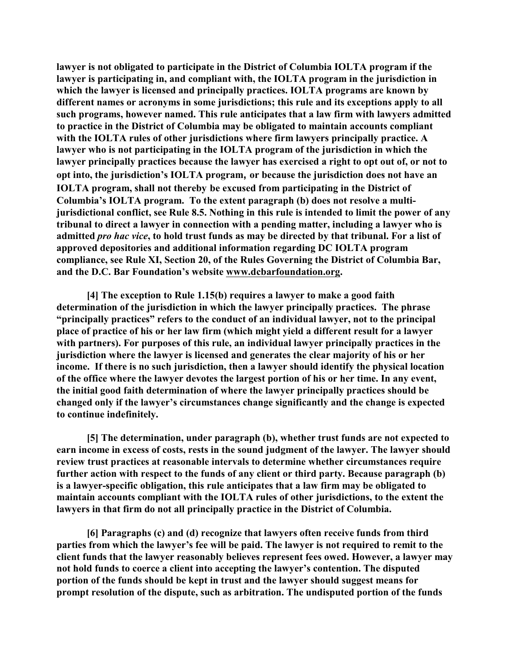**lawyer is not obligated to participate in the District of Columbia IOLTA program if the lawyer is participating in, and compliant with, the IOLTA program in the jurisdiction in which the lawyer is licensed and principally practices. IOLTA programs are known by different names or acronyms in some jurisdictions; this rule and its exceptions apply to all such programs, however named. This rule anticipates that a law firm with lawyers admitted to practice in the District of Columbia may be obligated to maintain accounts compliant with the IOLTA rules of other jurisdictions where firm lawyers principally practice. A lawyer who is not participating in the IOLTA program of the jurisdiction in which the lawyer principally practices because the lawyer has exercised a right to opt out of, or not to opt into, the jurisdiction's IOLTA program, or because the jurisdiction does not have an IOLTA program, shall not thereby be excused from participating in the District of Columbia's IOLTA program. To the extent paragraph (b) does not resolve a multijurisdictional conflict, see Rule 8.5. Nothing in this rule is intended to limit the power of any tribunal to direct a lawyer in connection with a pending matter, including a lawyer who is admitted** *pro hac vice***, to hold trust funds as may be directed by that tribunal. For a list of approved depositories and additional information regarding DC IOLTA program compliance, see Rule XI, Section 20, of the Rules Governing the District of Columbia Bar, and the D.C. Bar Foundation's website [www.dcbarfoundation.org](http://www.dcbarfoundation.org).**

**[4] The exception to Rule 1.15(b) requires a lawyer to make a good faith determination of the jurisdiction in which the lawyer principally practices. The phrase "principally practices" refers to the conduct of an individual lawyer, not to the principal place of practice of his or her law firm (which might yield a different result for a lawyer with partners). For purposes of this rule, an individual lawyer principally practices in the jurisdiction where the lawyer is licensed and generates the clear majority of his or her income. If there is no such jurisdiction, then a lawyer should identify the physical location of the office where the lawyer devotes the largest portion of his or her time. In any event, the initial good faith determination of where the lawyer principally practices should be changed only if the lawyer's circumstances change significantly and the change is expected to continue indefinitely.** 

**[5] The determination, under paragraph (b), whether trust funds are not expected to earn income in excess of costs, rests in the sound judgment of the lawyer. The lawyer should review trust practices at reasonable intervals to determine whether circumstances require further action with respect to the funds of any client or third party. Because paragraph (b) is a lawyer-specific obligation, this rule anticipates that a law firm may be obligated to maintain accounts compliant with the IOLTA rules of other jurisdictions, to the extent the lawyers in that firm do not all principally practice in the District of Columbia.**

 **[6] Paragraphs (c) and (d) recognize that lawyers often receive funds from third parties from which the lawyer's fee will be paid. The lawyer is not required to remit to the client funds that the lawyer reasonably believes represent fees owed. However, a lawyer may not hold funds to coerce a client into accepting the lawyer's contention. The disputed portion of the funds should be kept in trust and the lawyer should suggest means for prompt resolution of the dispute, such as arbitration. The undisputed portion of the funds**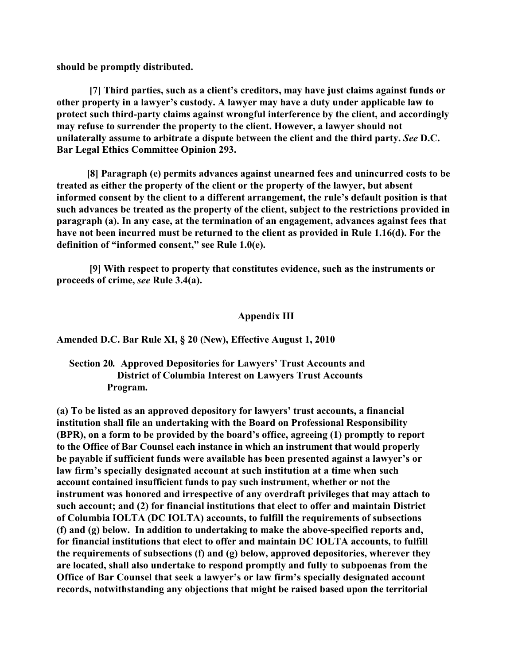**should be promptly distributed.**

 **[7] Third parties, such as a client's creditors, may have just claims against funds or other property in a lawyer's custody. A lawyer may have a duty under applicable law to protect such third-party claims against wrongful interference by the client, and accordingly may refuse to surrender the property to the client. However, a lawyer should not unilaterally assume to arbitrate a dispute between the client and the third party.** *See* **D.C. Bar Legal Ethics Committee Opinion 293.** 

**[8] Paragraph (e) permits advances against unearned fees and unincurred costs to be treated as either the property of the client or the property of the lawyer, but absent informed consent by the client to a different arrangement, the rule's default position is that such advances be treated as the property of the client, subject to the restrictions provided in paragraph (a). In any case, at the termination of an engagement, advances against fees that have not been incurred must be returned to the client as provided in Rule 1.16(d). For the definition of "informed consent," see Rule 1.0(e).**

 **[9] With respect to property that constitutes evidence, such as the instruments or proceeds of crime,** *see* **Rule 3.4(a).**

## **Appendix III**

**Amended D.C. Bar Rule XI, § 20 (New), Effective August 1, 2010** 

# **Section 20***.* **Approved Depositories for Lawyers' Trust Accounts and District of Columbia Interest on Lawyers Trust Accounts Program.**

**(a) To be listed as an approved depository for lawyers' trust accounts, a financial institution shall file an undertaking with the Board on Professional Responsibility (BPR), on a form to be provided by the board's office, agreeing (1) promptly to report to the Office of Bar Counsel each instance in which an instrument that would properly be payable if sufficient funds were available has been presented against a lawyer's or law firm's specially designated account at such institution at a time when such account contained insufficient funds to pay such instrument, whether or not the instrument was honored and irrespective of any overdraft privileges that may attach to such account; and (2) for financial institutions that elect to offer and maintain District of Columbia IOLTA (DC IOLTA) accounts, to fulfill the requirements of subsections (f) and (g) below. In addition to undertaking to make the above-specified reports and, for financial institutions that elect to offer and maintain DC IOLTA accounts, to fulfill the requirements of subsections (f) and (g) below, approved depositories, wherever they are located, shall also undertake to respond promptly and fully to subpoenas from the Office of Bar Counsel that seek a lawyer's or law firm's specially designated account records, notwithstanding any objections that might be raised based upon the territorial**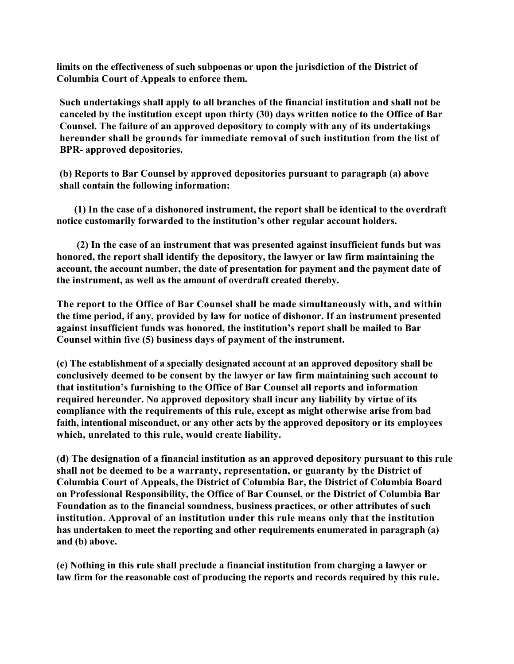**limits on the effectiveness of such subpoenas or upon the jurisdiction of the District of Columbia Court of Appeals to enforce them.** 

**Such undertakings shall apply to all branches of the financial institution and shall not be canceled by the institution except upon thirty (30) days written notice to the Office of Bar Counsel. The failure of an approved depository to comply with any of its undertakings hereunder shall be grounds for immediate removal of such institution from the list of BPR- approved depositories.**

**(b) Reports to Bar Counsel by approved depositories pursuant to paragraph (a) above shall contain the following information:**

 **(1) In the case of a dishonored instrument, the report shall be identical to the overdraft notice customarily forwarded to the institution's other regular account holders.**

 **(2) In the case of an instrument that was presented against insufficient funds but was honored, the report shall identify the depository, the lawyer or law firm maintaining the account, the account number, the date of presentation for payment and the payment date of the instrument, as well as the amount of overdraft created thereby.**

**The report to the Office of Bar Counsel shall be made simultaneously with, and within the time period, if any, provided by law for notice of dishonor. If an instrument presented against insufficient funds was honored, the institution's report shall be mailed to Bar Counsel within five (5) business days of payment of the instrument.**

**(c) The establishment of a specially designated account at an approved depository shall be conclusively deemed to be consent by the lawyer or law firm maintaining such account to that institution's furnishing to the Office of Bar Counsel all reports and information required hereunder. No approved depository shall incur any liability by virtue of its compliance with the requirements of this rule, except as might otherwise arise from bad faith, intentional misconduct, or any other acts by the approved depository or its employees which, unrelated to this rule, would create liability.**

**(d) The designation of a financial institution as an approved depository pursuant to this rule shall not be deemed to be a warranty, representation, or guaranty by the District of Columbia Court of Appeals, the District of Columbia Bar, the District of Columbia Board on Professional Responsibility, the Office of Bar Counsel, or the District of Columbia Bar Foundation as to the financial soundness, business practices, or other attributes of such institution. Approval of an institution under this rule means only that the institution has undertaken to meet the reporting and other requirements enumerated in paragraph (a) and (b) above.**

**(e) Nothing in this rule shall preclude a financial institution from charging a lawyer or law firm for the reasonable cost of producing the reports and records required by this rule.**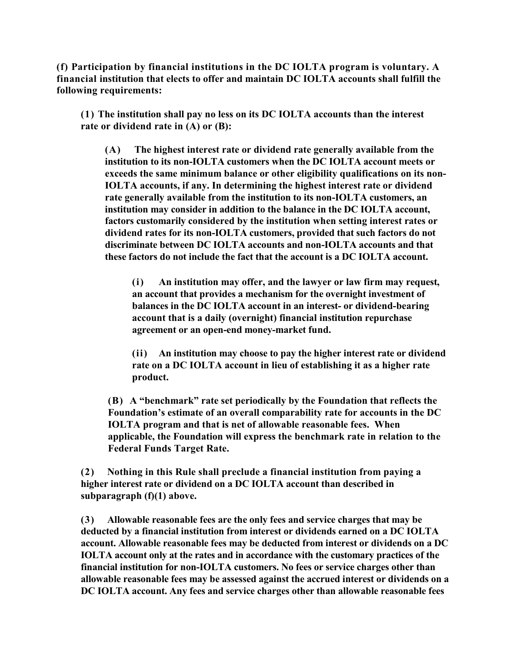**(f) Participation by financial institutions in the DC IOLTA program is voluntary. A financial institution that elects to offer and maintain DC IOLTA accounts shall fulfill the following requirements:**

**(1) The institution shall pay no less on its DC IOLTA accounts than the interest rate or dividend rate in (A) or (B):**

**(A) The highest interest rate or dividend rate generally available from the institution to its non-IOLTA customers when the DC IOLTA account meets or exceeds the same minimum balance or other eligibility qualifications on its non-IOLTA accounts, if any. In determining the highest interest rate or dividend rate generally available from the institution to its non-IOLTA customers, an institution may consider in addition to the balance in the DC IOLTA account, factors customarily considered by the institution when setting interest rates or dividend rates for its non-IOLTA customers, provided that such factors do not discriminate between DC IOLTA accounts and non-IOLTA accounts and that these factors do not include the fact that the account is a DC IOLTA account.**

**(i) An institution may offer, and the lawyer or law firm may request, an account that provides a mechanism for the overnight investment of balances in the DC IOLTA account in an interest- or dividend-bearing account that is a daily (overnight) financial institution repurchase agreement or an open-end money-market fund.**

**(ii) An institution may choose to pay the higher interest rate or dividend rate on a DC IOLTA account in lieu of establishing it as a higher rate product.**

**(B) A "benchmark" rate set periodically by the Foundation that reflects the Foundation's estimate of an overall comparability rate for accounts in the DC IOLTA program and that is net of allowable reasonable fees. When applicable, the Foundation will express the benchmark rate in relation to the Federal Funds Target Rate.**

**(2) Nothing in this Rule shall preclude a financial institution from paying a higher interest rate or dividend on a DC IOLTA account than described in subparagraph (f)(1) above.**

**(3) Allowable reasonable fees are the only fees and service charges that may be deducted by a financial institution from interest or dividends earned on a DC IOLTA account. Allowable reasonable fees may be deducted from interest or dividends on a DC IOLTA account only at the rates and in accordance with the customary practices of the financial institution for non-IOLTA customers. No fees or service charges other than allowable reasonable fees may be assessed against the accrued interest or dividends on a DC IOLTA account. Any fees and service charges other than allowable reasonable fees**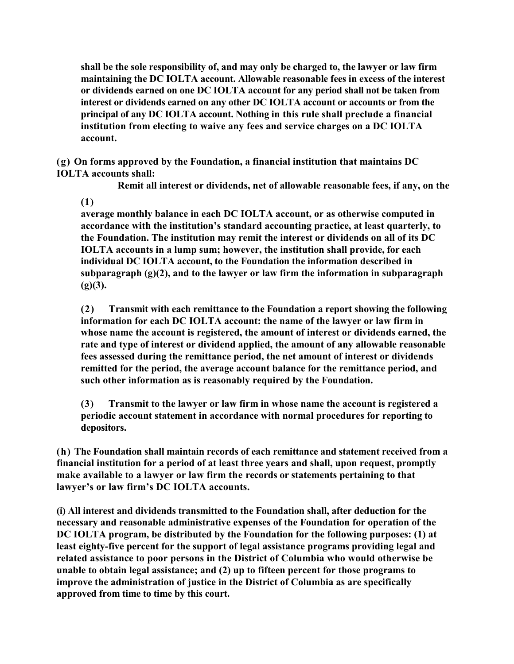**shall be the sole responsibility of, and may only be charged to, the lawyer or law firm maintaining the DC IOLTA account. Allowable reasonable fees in excess of the interest or dividends earned on one DC IOLTA account for any period shall not be taken from interest or dividends earned on any other DC IOLTA account or accounts or from the principal of any DC IOLTA account. Nothing in this rule shall preclude a financial institution from electing to waive any fees and service charges on a DC IOLTA account.**

**(g) On forms approved by the Foundation, a financial institution that maintains DC IOLTA accounts shall:**

**Remit all interest or dividends, net of allowable reasonable fees, if any, on the**

**(1)**

**average monthly balance in each DC IOLTA account, or as otherwise computed in accordance with the institution's standard accounting practice, at least quarterly, to the Foundation. The institution may remit the interest or dividends on all of its DC IOLTA accounts in a lump sum; however, the institution shall provide, for each individual DC IOLTA account, to the Foundation the information described in subparagraph (g)(2), and to the lawyer or law firm the information in subparagraph (g)(3).**

**(2) Transmit with each remittance to the Foundation a report showing the following information for each DC IOLTA account: the name of the lawyer or law firm in whose name the account is registered, the amount of interest or dividends earned, the rate and type of interest or dividend applied, the amount of any allowable reasonable fees assessed during the remittance period, the net amount of interest or dividends remitted for the period, the average account balance for the remittance period, and such other information as is reasonably required by the Foundation.**

**(3) Transmit to the lawyer or law firm in whose name the account is registered a periodic account statement in accordance with normal procedures for reporting to depositors.**

**(h) The Foundation shall maintain records of each remittance and statement received from a financial institution for a period of at least three years and shall, upon request, promptly make available to a lawyer or law firm the records or statements pertaining to that lawyer's or law firm's DC IOLTA accounts.**

**(i) All interest and dividends transmitted to the Foundation shall, after deduction for the necessary and reasonable administrative expenses of the Foundation for operation of the DC IOLTA program, be distributed by the Foundation for the following purposes: (1) at least eighty-five percent for the support of legal assistance programs providing legal and related assistance to poor persons in the District of Columbia who would otherwise be unable to obtain legal assistance; and (2) up to fifteen percent for those programs to improve the administration of justice in the District of Columbia as are specifically approved from time to time by this court.**